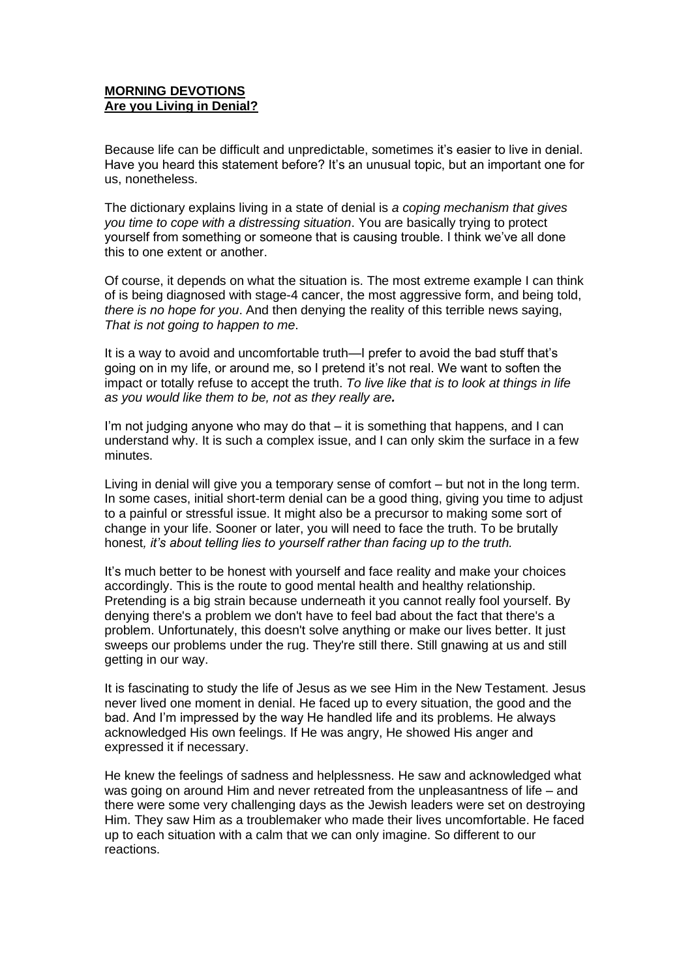## **MORNING DEVOTIONS Are you Living in Denial?**

Because life can be difficult and unpredictable, sometimes it's easier to live in denial. Have you heard this statement before? It's an unusual topic, but an important one for us, nonetheless.

The dictionary explains living in a state of denial is *a coping mechanism that gives you time to cope with a distressing situation*. You are basically trying to protect yourself from something or someone that is causing trouble. I think we've all done this to one extent or another.

Of course, it depends on what the situation is. The most extreme example I can think of is being diagnosed with stage-4 cancer, the most aggressive form, and being told, *there is no hope for you*. And then denying the reality of this terrible news saying, *That is not going to happen to me*.

It is a way to avoid and uncomfortable truth—I prefer to avoid the bad stuff that's going on in my life, or around me, so I pretend it's not real. We want to soften the impact or totally refuse to accept the truth. *To live like that is to look at things in life as you would like them to be, not as they really are.* 

I'm not judging anyone who may do that – it is something that happens, and I can understand why. It is such a complex issue, and I can only skim the surface in a few minutes.

Living in denial will give you a temporary sense of comfort – but not in the long term. In some cases, initial short-term denial can be a good thing, giving you time to adjust to a painful or stressful issue. It might also be a precursor to making some sort of change in your life. Sooner or later, you will need to face the truth. To be brutally honest*, it's about telling lies to yourself rather than facing up to the truth.*

It's much better to be honest with yourself and face reality and make your choices accordingly. This is the route to good mental health and healthy relationship. Pretending is a big strain because underneath it you cannot really fool yourself. By denying there's a problem we don't have to feel bad about the fact that there's a problem. Unfortunately, this doesn't solve anything or make our lives better. It just sweeps our problems under the rug. They're still there. Still gnawing at us and still getting in our way.

It is fascinating to study the life of Jesus as we see Him in the New Testament. Jesus never lived one moment in denial. He faced up to every situation, the good and the bad. And I'm impressed by the way He handled life and its problems. He always acknowledged His own feelings. If He was angry, He showed His anger and expressed it if necessary.

He knew the feelings of sadness and helplessness. He saw and acknowledged what was going on around Him and never retreated from the unpleasantness of life – and there were some very challenging days as the Jewish leaders were set on destroying Him. They saw Him as a troublemaker who made their lives uncomfortable. He faced up to each situation with a calm that we can only imagine. So different to our reactions.